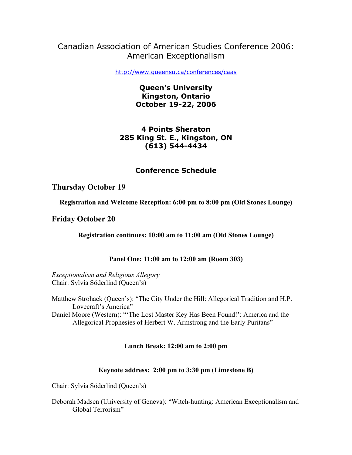# Canadian Association of American Studies Conference 2006: American Exceptionalism

http://www.queensu.ca/conferences/caas

**Queen's University Kingston, Ontario October 19-22, 2006**

## **4 Points Sheraton 285 King St. E., Kingston, ON (613) 544-4434**

# **Conference Schedule**

## **Thursday October 19**

**Registration and Welcome Reception: 6:00 pm to 8:00 pm (Old Stones Lounge)**

## **Friday October 20**

**Registration continues: 10:00 am to 11:00 am (Old Stones Lounge)**

## **Panel One: 11:00 am to 12:00 am (Room 303)**

*Exceptionalism and Religious Allegory* Chair: Sylvia Söderlind (Queen's)

Matthew Strohack (Queen's): "The City Under the Hill: Allegorical Tradition and H.P. Lovecraft's America"

Daniel Moore (Western): "'The Lost Master Key Has Been Found!': America and the Allegorical Prophesies of Herbert W. Armstrong and the Early Puritans"

## **Lunch Break: 12:00 am to 2:00 pm**

## **Keynote address: 2:00 pm to 3:30 pm (Limestone B)**

Chair: Sylvia Söderlind (Queen's)

Deborah Madsen (University of Geneva): "Witch-hunting: American Exceptionalism and Global Terrorism"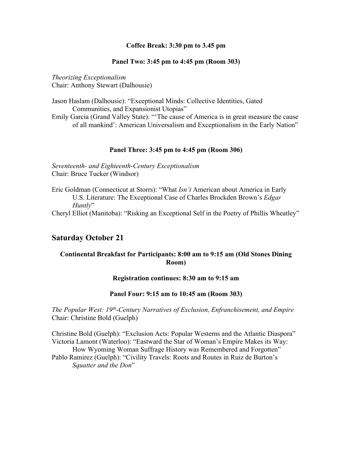## **Coffee Break: 3:30 pm to 3.45 pm**

#### **Panel Two: 3:45 pm to 4:45 pm (Room 303)**

*Theorizing Exceptionalism* Chair: Anthony Stewart (Dalhousie)

Jason Haslam (Dalhousie): "Exceptional Minds: Collective Identities, Gated Communities, and Expansionist Utopias"

Emily Garcia (Grand Valley State): "'The cause of America is in great measure the cause of all mankind': American Universalism and Exceptionalism in the Early Nation"

#### **Panel Three: 3:45 pm to 4:45 pm (Room 306)**

*Seventeenth- and Eighteenth-Century Exceptionalism* Chair: Bruce Tucker (Windsor)

Eric Goldman (Connecticut at Storrs): "What *Isn't* American about America in Early U.S. Literature: The Exceptional Case of Charles Brockden Brown's *Edgar Huntly*"

Cheryl Elliot (Manitoba): "Risking an Exceptional Self in the Poetry of Phillis Wheatley"

# **Saturday October 21**

## **Continental Breakfast for Participants: 8:00 am to 9:15 am (Old Stones Dining Room)**

## **Registration continues: 8:30 am to 9:15 am**

#### **Panel Four: 9:15 am to 10:45 am (Room 303)**

*The Popular West: 19th-Century Narratives of Exclusion, Enfranchisement, and Empire* Chair: Christine Bold (Guelph)

Christine Bold (Guelph): "Exclusion Acts: Popular Westerns and the Atlantic Diaspora" Victoria Lamont (Waterloo): "Eastward the Star of Woman's Empire Makes its Way: How Wyoming Woman Suffrage History was Remembered and Forgotten" Pablo Ramirez (Guelph): "Civility Travels: Roots and Routes in Ruiz de Burton's *Squatter and the Don*"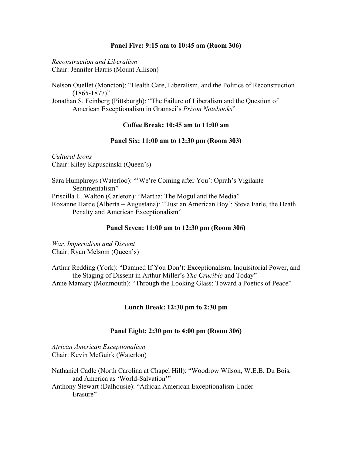#### **Panel Five: 9:15 am to 10:45 am (Room 306)**

*Reconstruction and Liberalism* Chair: Jennifer Harris (Mount Allison)

Nelson Ouellet (Moncton): "Health Care, Liberalism, and the Politics of Reconstruction  $(1865 - 1877)$ "

Jonathan S. Feinberg (Pittsburgh): "The Failure of Liberalism and the Question of American Exceptionalism in Gramsci's *Prison Notebooks*"

## **Coffee Break: 10:45 am to 11:00 am**

#### **Panel Six: 11:00 am to 12:30 pm (Room 303)**

*Cultural Icons* Chair: Kiley Kapuscinski (Queen's)

Sara Humphreys (Waterloo): "'We're Coming after You': Oprah's Vigilante Sentimentalism" Priscilla L. Walton (Carleton): "Martha: The Mogul and the Media" Roxanne Harde (Alberta – Augustana): "'Just an American Boy': Steve Earle, the Death Penalty and American Exceptionalism"

#### **Panel Seven: 11:00 am to 12:30 pm (Room 306)**

*War, Imperialism and Dissent* Chair: Ryan Melsom (Queen's)

Arthur Redding (York): "Damned If You Don't: Exceptionalism, Inquisitorial Power, and the Staging of Dissent in Arthur Miller's *The Crucible* and Today" Anne Mamary (Monmouth): "Through the Looking Glass: Toward a Poetics of Peace"

## **Lunch Break: 12:30 pm to 2:30 pm**

#### **Panel Eight: 2:30 pm to 4:00 pm (Room 306)**

*African American Exceptionalism* Chair: Kevin McGuirk (Waterloo)

Nathaniel Cadle (North Carolina at Chapel Hill): "Woodrow Wilson, W.E.B. Du Bois, and America as 'World-Salvation'" Anthony Stewart (Dalhousie): "African American Exceptionalism Under Erasure"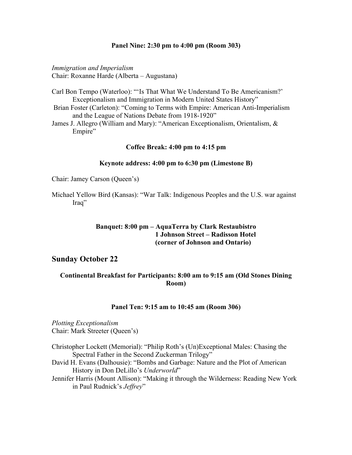#### **Panel Nine: 2:30 pm to 4:00 pm (Room 303)**

*Immigration and Imperialism*  Chair: Roxanne Harde (Alberta – Augustana)

- Carl Bon Tempo (Waterloo): "'Is That What We Understand To Be Americanism?' Exceptionalism and Immigration in Modern United States History"
- Brian Foster (Carleton): "Coming to Terms with Empire: American Anti-Imperialism and the League of Nations Debate from 1918-1920"
- James J. Allegro (William and Mary): "American Exceptionalism, Orientalism, & Empire"

#### **Coffee Break: 4:00 pm to 4:15 pm**

#### **Keynote address: 4:00 pm to 6:30 pm (Limestone B)**

Chair: Jamey Carson (Queen's)

Michael Yellow Bird (Kansas): "War Talk: Indigenous Peoples and the U.S. war against Iraq"

## **Banquet: 8:00 pm – AquaTerra by Clark Restaubistro 1 Johnson Street – Radisson Hotel (corner of Johnson and Ontario)**

## **Sunday October 22**

## **Continental Breakfast for Participants: 8:00 am to 9:15 am (Old Stones Dining Room)**

#### **Panel Ten: 9:15 am to 10:45 am (Room 306)**

*Plotting Exceptionalism*  Chair: Mark Streeter (Queen's)

- Christopher Lockett (Memorial): "Philip Roth's (Un)Exceptional Males: Chasing the Spectral Father in the Second Zuckerman Trilogy"
- David H. Evans (Dalhousie): "Bombs and Garbage: Nature and the Plot of American History in Don DeLillo's *Underworld*"
- Jennifer Harris (Mount Allison): "Making it through the Wilderness: Reading New York in Paul Rudnick's *Jeffrey*"